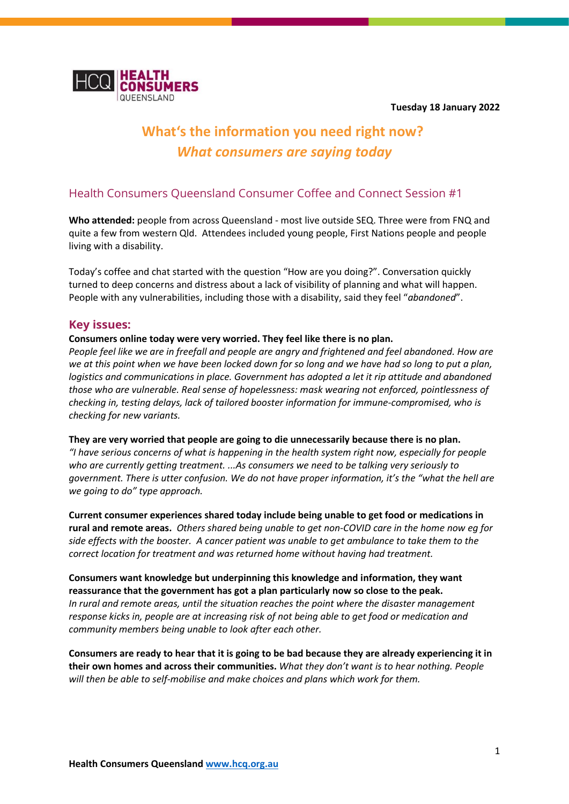**Tuesday 18 January 2022**



# **What's the information you need right now?** *What consumers are saying today*

# Health Consumers Queensland Consumer Coffee and Connect Session #1

**Who attended:** people from across Queensland - most live outside SEQ. Three were from FNQ and quite a few from western Qld. Attendees included young people, First Nations people and people living with a disability.

Today's coffee and chat started with the question "How are you doing?". Conversation quickly turned to deep concerns and distress about a lack of visibility of planning and what will happen. People with any vulnerabilities, including those with a disability, said they feel "*abandoned*".

## **Key issues:**

#### **Consumers online today were very worried. They feel like there is no plan.**

*People feel like we are in freefall and people are angry and frightened and feel abandoned. How are we at this point when we have been locked down for so long and we have had so long to put a plan, logistics and communications in place. Government has adopted a let it rip attitude and abandoned those who are vulnerable. Real sense of hopelessness: mask wearing not enforced, pointlessness of checking in, testing delays, lack of tailored booster information for immune-compromised, who is checking for new variants.*

#### **They are very worried that people are going to die unnecessarily because there is no plan.**

*"I have serious concerns of what is happening in the health system right now, especially for people who are currently getting treatment. ...As consumers we need to be talking very seriously to government. There is utter confusion. We do not have proper information, it's the "what the hell are we going to do" type approach.* 

**Current consumer experiences shared today include being unable to get food or medications in rural and remote areas.** *Others shared being unable to get non-COVID care in the home now eg for side effects with the booster. A cancer patient was unable to get ambulance to take them to the correct location for treatment and was returned home without having had treatment.*

**Consumers want knowledge but underpinning this knowledge and information, they want reassurance that the government has got a plan particularly now so close to the peak.** *In rural and remote areas, until the situation reaches the point where the disaster management response kicks in, people are at increasing risk of not being able to get food or medication and community members being unable to look after each other.*

**Consumers are ready to hear that it is going to be bad because they are already experiencing it in their own homes and across their communities.** *What they don't want is to hear nothing. People will then be able to self-mobilise and make choices and plans which work for them.*